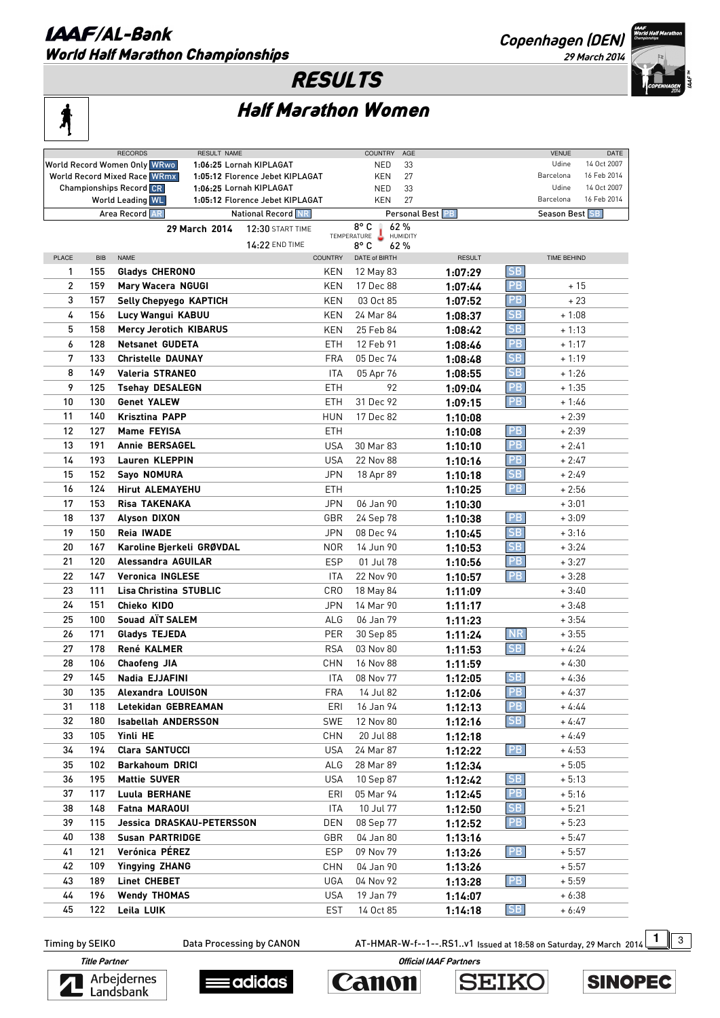### **LAAF/AL-Bank** World Half Marathon Championships

**Copenhagen (DEN)** 

**29 March 2014** 

## RESULTS

|--|

# Half Marathon Women

|                                                                        |            | <b>RECORDS</b><br>RESULT NAME  |                                 |                | <b>COUNTRY</b> | AGE             |                  |           | <b>VENUE</b>          | DATE        |
|------------------------------------------------------------------------|------------|--------------------------------|---------------------------------|----------------|----------------|-----------------|------------------|-----------|-----------------------|-------------|
|                                                                        |            | World Record Women Only WRwo   | 1:06:25 Lornah KIPLAGAT         |                | NED            | 33              |                  |           | Udine                 | 14 Oct 2007 |
| <b>World Record Mixed Race WRmx</b><br>1:05:12 Florence Jebet KIPLAGAT |            |                                |                                 |                | <b>KEN</b>     | 27              |                  |           | Barcelona             | 16 Feb 2014 |
|                                                                        |            | <b>Championships Record CR</b> | 1:06:25 Lornah KIPLAGAT         |                | <b>NED</b>     | 33              |                  |           | Udine                 | 14 Oct 2007 |
|                                                                        |            | <b>World Leading WL</b>        | 1:05:12 Florence Jebet KIPLAGAT |                | KEN            | 27              |                  |           | Barcelona             | 16 Feb 2014 |
|                                                                        |            | Area Record AR                 | National Record NR              |                |                |                 | Personal Best PB |           | <b>Season Best SB</b> |             |
|                                                                        |            | 29 March 2014                  | 12:30 START TIME                |                | 8°C            | 62%             |                  |           |                       |             |
|                                                                        |            |                                |                                 |                | TEMPERATURE    | <b>HUMIDITY</b> |                  |           |                       |             |
|                                                                        |            |                                | 14:22 END TIME                  |                | 8° C           | 62%             |                  |           |                       |             |
| <b>PLACE</b>                                                           | <b>BIB</b> | <b>NAME</b>                    |                                 | <b>COUNTRY</b> | DATE of BIRTH  |                 | <b>RESULT</b>    |           | <b>TIME BEHIND</b>    |             |
| 1                                                                      | 155        | Gladys CHERONO                 |                                 | KEN            | 12 May 83      |                 | 1:07:29          | <b>SB</b> |                       |             |
| $\overline{c}$                                                         | 159        | Mary Wacera NGUGI              |                                 | KEN            | 17 Dec 88      |                 | 1:07:44          | PB.       | $+15$                 |             |
| 3                                                                      | 157        | Selly Chepyego KAPTICH         |                                 | <b>KEN</b>     | 03 Oct 85      |                 | 1:07:52          | <b>PB</b> | $+23$                 |             |
| 4                                                                      | 156        | Lucy Wangui KABUU              |                                 | KEN            | 24 Mar 84      |                 | 1:08:37          | SB        | $+1:08$               |             |
| 5                                                                      | 158        | <b>Mercy Jerotich KIBARUS</b>  |                                 | KEN            | 25 Feb 84      |                 | 1:08:42          | SB        | $+1:13$               |             |
| 6                                                                      | 128        | <b>Netsanet GUDETA</b>         |                                 | ETH            | 12 Feb 91      |                 | 1:08:46          | <b>PB</b> | $+1:17$               |             |
| 7                                                                      | 133        | <b>Christelle DAUNAY</b>       |                                 | <b>FRA</b>     | 05 Dec 74      |                 |                  | SB        | $+1:19$               |             |
|                                                                        |            |                                |                                 |                |                |                 | 1:08:48          |           |                       |             |
| 8                                                                      | 149        | <b>Valeria STRANEO</b>         |                                 | <b>ITA</b>     | 05 Apr 76      |                 | 1:08:55          | SB        | $+1:26$               |             |
| 9                                                                      | 125        | <b>Tsehay DESALEGN</b>         |                                 | <b>ETH</b>     | 92             |                 | 1:09:04          | <b>PB</b> | $+1:35$               |             |
| 10                                                                     | 130        | <b>Genet YALEW</b>             |                                 | <b>ETH</b>     | 31 Dec 92      |                 | 1:09:15          | <b>PB</b> | $+1:46$               |             |
| 11                                                                     | 140        | <b>Krisztina PAPP</b>          |                                 | <b>HUN</b>     | 17 Dec 82      |                 | 1:10:08          |           | $+2:39$               |             |
| 12                                                                     | 127        | Mame FEYISA                    |                                 | <b>ETH</b>     |                |                 | 1:10:08          | <b>PB</b> | $+2:39$               |             |
| 13                                                                     | 191        | <b>Annie BERSAGEL</b>          |                                 | <b>USA</b>     | 30 Mar 83      |                 | 1:10:10          | PB        | $+2:41$               |             |
| 14                                                                     | 193        | Lauren KLEPPIN                 |                                 | <b>USA</b>     | 22 Nov 88      |                 | 1:10:16          | PB        | $+2:47$               |             |
| 15                                                                     | 152        | Sayo NOMURA                    |                                 |                |                |                 |                  | <b>SB</b> |                       |             |
|                                                                        |            |                                |                                 | <b>JPN</b>     | 18 Apr 89      |                 | 1:10:18          |           | $+2:49$               |             |
| 16                                                                     | 124        | <b>Hirut ALEMAYEHU</b>         |                                 | <b>ETH</b>     |                |                 | 1:10:25          | <b>PB</b> | $+2:56$               |             |
| 17                                                                     | 153        | Risa TAKENAKA                  |                                 | <b>JPN</b>     | 06 Jan 90      |                 | 1:10:30          |           | $+3:01$               |             |
| 18                                                                     | 137        | <b>Alyson DIXON</b>            |                                 | GBR            | 24 Sep 78      |                 | 1:10:38          | <b>PB</b> | $+3:09$               |             |
| 19                                                                     | 150        | <b>Reia IWADE</b>              |                                 | <b>JPN</b>     | 08 Dec 94      |                 | 1:10:45          | <b>SB</b> | $+3:16$               |             |
| 20                                                                     | 167        | Karoline Bjerkeli GRØVDAL      |                                 | <b>NOR</b>     | 14 Jun 90      |                 | 1:10:53          | <b>SB</b> | $+3:24$               |             |
| 21                                                                     | 120        | Alessandra AGUILAR             |                                 | <b>ESP</b>     | 01 Jul 78      |                 | 1:10:56          | <b>PB</b> | $+3:27$               |             |
| 22                                                                     | 147        | <b>Veronica INGLESE</b>        |                                 | <b>ITA</b>     | 22 Nov 90      |                 | 1:10:57          | <b>PB</b> | $+3:28$               |             |
| 23                                                                     | 111        | <b>Lisa Christina STUBLIC</b>  |                                 | <b>CRO</b>     | 18 May 84      |                 | 1:11:09          |           | $+3:40$               |             |
| 24                                                                     | 151        | Chieko KIDO                    |                                 | <b>JPN</b>     | 14 Mar 90      |                 |                  |           | $+3:48$               |             |
| 25                                                                     | 100        | Souad AIT SALEM                |                                 |                | 06 Jan 79      |                 | 1:11:17          |           |                       |             |
|                                                                        |            |                                |                                 | ALG            |                |                 | 1:11:23          |           | $+3:54$               |             |
| 26                                                                     | 171        | Gladys TEJEDA                  |                                 | PER            | 30 Sep 85      |                 | 1:11:24          | <b>NR</b> | $+3:55$               |             |
| 27                                                                     | 178        | René KALMER                    |                                 | <b>RSA</b>     | 03 Nov 80      |                 | 1:11:53          | <b>SB</b> | $+4:24$               |             |
| 28                                                                     | 106        | <b>Chaofeng JIA</b>            |                                 | CHN            | 16 Nov 88      |                 | 1:11:59          |           | $+4:30$               |             |
| 29                                                                     | 145        | Nadia EJJAFINI                 |                                 | ITA            | 08 Nov 77      |                 | 1:12:05          | <b>SB</b> | $+4:36$               |             |
| 30                                                                     | 135        | Alexandra LOUISON              |                                 | FRA            | 14 Jul 82      |                 | 1:12:06          | PB        | $+4:37$               |             |
| 31                                                                     | 118        | Letekidan GEBREAMAN            |                                 | ERI            | 16 Jan 94      |                 | 1:12:13          | PB        | $+4:44$               |             |
| 32                                                                     | 180        | <b>Isabellah ANDERSSON</b>     |                                 | SWE            | 12 Nov 80      |                 | 1:12:16          | SB        | $+4:47$               |             |
| 33                                                                     | 105        | Yinli HE                       |                                 | CHN            | 20 Jul 88      |                 | 1:12:18          |           | $+4:49$               |             |
| 34                                                                     | 194        | Clara SANTUCCI                 |                                 |                |                |                 |                  |           |                       |             |
|                                                                        |            |                                |                                 | <b>USA</b>     | 24 Mar 87      |                 | 1:12:22          | PB        | $+4:53$               |             |
| 35                                                                     | 102        | <b>Barkahoum DRICI</b>         |                                 | ALG            | 28 Mar 89      |                 | 1:12:34          |           | $+5:05$               |             |
| 36                                                                     | 195        | <b>Mattie SUVER</b>            |                                 | <b>USA</b>     | 10 Sep 87      |                 | 1:12:42          | SB        | $+5:13$               |             |
| 37                                                                     | 117        | Luula BERHANE                  |                                 | ERI            | 05 Mar 94      |                 | 1:12:45          | PB        | $+5:16$               |             |
| 38                                                                     | 148        | Fatna MARAOUI                  |                                 | <b>ITA</b>     | 10 Jul 77      |                 | 1:12:50          | SB        | $+5:21$               |             |
| 39                                                                     | 115        | Jessica DRASKAU-PETERSSON      |                                 | <b>DEN</b>     | 08 Sep 77      |                 | 1:12:52          | PB        | $+5:23$               |             |
| 40                                                                     | 138        | <b>Susan PARTRIDGE</b>         |                                 | GBR            | 04 Jan 80      |                 | 1:13:16          |           | $+5:47$               |             |
| 41                                                                     | 121        | Verónica PÉREZ                 |                                 | ESP            | 09 Nov 79      |                 | 1:13:26          | PB        | $+5:57$               |             |
| 42                                                                     | 109        | <b>Yingying ZHANG</b>          |                                 | CHN            | 04 Jan 90      |                 | 1:13:26          |           | $+5:57$               |             |
| 43                                                                     | 189        | Linet CHEBET                   |                                 | UGA            |                |                 |                  | PB        |                       |             |
|                                                                        |            |                                |                                 |                | 04 Nov 92      |                 | 1:13:28          |           | $+5:59$               |             |
| 44                                                                     | 196        | <b>Wendy THOMAS</b>            |                                 | <b>USA</b>     | 19 Jan 79      |                 | 1:14:07          |           | $+6:38$               |             |
| 45                                                                     | 122        | Leila LUIK                     |                                 | <b>EST</b>     | 14 Oct 85      |                 | 1:14:18          | SB        | $+6:49$               |             |

Timing by SEIKO **Data Processing by CANON** AT-HMAR-W-f--1--.RS1..v1 Issued at 18:58 on Saturday, 29 March 2014 1 3









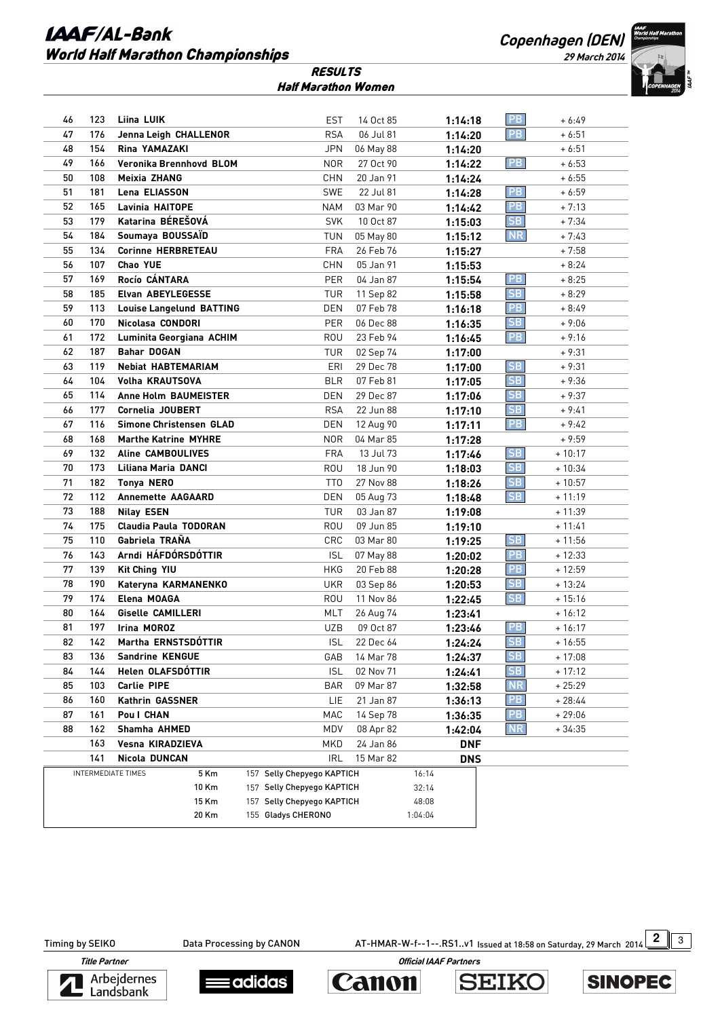#### **LAAF/AL-Bank** World Half Marathon Championships

**Copenhagen (DEN)** 

**29 March 2014** 



| <b>RESULTS</b>      |  |  |  |
|---------------------|--|--|--|
| Half Marathon Women |  |  |  |

| 46                        | 123 | Liina LUIK                      | <b>EST</b>                 | 14 Oct 85                  | 1:14:18             | <b>PB</b>                         | + 6:49   |
|---------------------------|-----|---------------------------------|----------------------------|----------------------------|---------------------|-----------------------------------|----------|
| 47                        | 176 | Jenna Leigh CHALLENOR           | <b>RSA</b>                 | 06 Jul 81                  | 1:14:20             | PB                                | + 6:51   |
| 48                        | 154 | Rina YAMAZAKI                   | JPN                        | 06 May 88                  | 1:14:20             |                                   | + 6:51   |
| 49                        | 166 | Veronika Brennhovd BLOM         | <b>NOR</b>                 | 27 Oct 90                  | 1:14:22             | PB                                | $+6:53$  |
| 50                        | 108 | Meixia ZHANG                    | CHN                        | 20 Jan 91                  | 1:14:24             |                                   | $+6:55$  |
| 51                        | 181 | Lena ELIASSON                   | SWE                        | 22 Jul 81                  | 1:14:28             | PB                                | $+6:59$  |
| 52                        | 165 | Lavinia HAITOPE                 | NAM                        | 03 Mar 90                  | 1:14:42             | PB                                | $+7:13$  |
| 53                        | 179 | Katarina BÉREŠOVÁ               | <b>SVK</b>                 | 10 Oct 87                  | 1:15:03             | SB                                | $+7:34$  |
| 54                        | 184 | Soumaya BOUSSAÏD                | TUN                        | 05 May 80                  | 1:15:12             | <b>NR</b>                         | $+7:43$  |
| 55                        | 134 | <b>Corinne HERBRETEAU</b>       | <b>FRA</b>                 | 26 Feb 76                  | 1:15:27             |                                   | $+7:58$  |
| 56                        | 107 | <b>Chao YUE</b>                 | CHN                        | 05 Jan 91                  | 1:15:53             |                                   | $+8:24$  |
| 57                        | 169 | Rocío CÁNTARA                   | <b>PER</b>                 | 04 Jan 87                  | 1:15:54             | PB                                | + 8:25   |
| 58                        | 185 | Elvan ABEYLEGESSE               | TUR                        | 11 Sep 82                  | 1:15:58             | <b>SB</b>                         | $+8:29$  |
| 59                        | 113 | <b>Louise Langelund BATTING</b> | DEN                        | 07 Feb 78                  | 1:16:18             | PB                                | + 8:49   |
| 60                        | 170 | Nicolasa CONDORI                | PER                        | 06 Dec 88                  | 1:16:35             | SB                                | $+9:06$  |
| 61                        | 172 | Luminita Georgiana ACHIM        | ROU                        | 23 Feb 94                  | 1:16:45             | PB                                | $+9:16$  |
| 62                        | 187 | <b>Bahar DOGAN</b>              | TUR                        | 02 Sep 74                  | 1:17:00             |                                   | $+9:31$  |
| 63                        | 119 | <b>Nebiat HABTEMARIAM</b>       | ERI                        | 29 Dec 78                  | 1:17:00             | <b>SB</b>                         | + 9:31   |
| 64                        | 104 | Volha KRAUTSOVA                 | <b>BLR</b>                 | 07 Feb 81                  | 1:17:05             | <b>SB</b>                         | $+9:36$  |
| 65                        | 114 | <b>Anne Holm BAUMEISTER</b>     | DEN                        | 29 Dec 87                  | 1:17:06             | SB                                | $+9:37$  |
| 66                        | 177 | Cornelia JOUBERT                | <b>RSA</b>                 | 22 Jun 88                  | 1:17:10             | SB                                | + 9:41   |
| 67                        | 116 | Simone Christensen GLAD         | DEN                        | 12 Aug 90                  | 1:17:11             | PB                                | $+9:42$  |
| 68                        | 168 | <b>Marthe Katrine MYHRE</b>     | NOR                        | 04 Mar 85                  | 1:17:28             |                                   | + 9:59   |
| 69                        | 132 | <b>Aline CAMBOULIVES</b>        | <b>FRA</b>                 | 13 Jul 73                  | 1:17:46             | <b>SB</b>                         | $+10:17$ |
| 70                        | 173 | Liliana Maria DANCI             | ROU                        | 18 Jun 90                  | 1:18:03             | SB                                | $+10:34$ |
| 71                        | 182 | <b>Tonya NERO</b>               | TT0                        | 27 Nov 88                  | 1:18:26             | SB                                | $+10:57$ |
| 72                        | 112 | <b>Annemette AAGAARD</b>        | DEN                        | 05 Aug 73                  | 1:18:48             | SB                                | $+11:19$ |
| 73                        | 188 | <b>Nilay ESEN</b>               | TUR                        | 03 Jan 87                  | 1:19:08             |                                   | $+11:39$ |
| 74                        | 175 | <b>Claudia Paula TODORAN</b>    | ROU                        | 09 Jun 85                  | 1:19:10             |                                   | $+11:41$ |
| 75                        | 110 | Gabriela TRAÑA                  | CRC                        | 03 Mar 80                  | 1:19:25             | $\overline{\mathsf{S}}\mathsf{B}$ | $+11:56$ |
| 76                        | 143 | Arndi HÁFDÓRSDÓTTIR             | <b>ISL</b>                 | 07 May 88                  | 1:20:02             | PB                                | $+12:33$ |
| 77                        | 139 | Kit Ching YIU                   | <b>HKG</b>                 | 20 Feb 88                  | 1:20:28             | PB                                | $+12:59$ |
| 78                        | 190 | Kateryna KARMANENKO             | UKR                        | 03 Sep 86                  | 1:20:53             | SB                                | $+13:24$ |
| 79                        | 174 | Elena MOAGA                     | ROU                        | 11 Nov 86                  | 1:22:45             | SB                                | $+15:16$ |
| 80                        | 164 | <b>Giselle CAMILLERI</b>        | MLT                        | 26 Aug 74                  | 1:23:41             |                                   | $+16:12$ |
| 81                        | 197 | Irina MOROZ                     | <b>UZB</b>                 | 09 Oct 87                  | 1:23:46             | PB                                | $+16:17$ |
| 82                        | 142 | Martha ERNSTSDÓTTIR             | <b>ISL</b>                 | 22 Dec 64                  | 1:24:24             | SB                                | $+16:55$ |
| 83                        | 136 | <b>Sandrine KENGUE</b>          | GAB                        | 14 Mar 78                  | 1:24:37             | SB                                | $+17:08$ |
| 84                        | 144 | Helen OLAFSDÓTTIR               | <b>ISL</b>                 | 02 Nov 71                  | 1:24:41             | <b>SB</b>                         | $+17:12$ |
| 85                        | 103 | Carlie PIPE                     | <b>BAR</b>                 | 09 Mar 87                  | 1:32:58             | <b>NR</b>                         | $+25:29$ |
| 86                        | 160 | <b>Kathrin GASSNER</b>          | LIE                        | 21 Jan 87                  | 1:36:13             | <b>PB</b>                         | + 28:44  |
| 87                        | 161 | Poul CHAN                       | MAC                        | 14 Sep 78                  | 1:36:35             | <b>PB</b>                         | $+29:06$ |
| 88                        | 162 | Shamha AHMED                    | MDV                        | 08 Apr 82                  | 1:42:04             | <b>NR</b>                         | + 34:35  |
|                           | 163 | Vesna KIRADZIEVA                | <b>MKD</b>                 | 24 Jan 86                  | <b>DNF</b>          |                                   |          |
|                           | 141 | Nicola DUNCAN                   | <b>IRL</b>                 | 15 Mar 82                  | <b>DNS</b><br>16:14 |                                   |          |
| <b>INTERMEDIATE TIMES</b> |     | 5 Km                            |                            | 157 Selly Chepyego KAPTICH |                     |                                   |          |
|                           |     | 10 Km                           | 157 Selly Chepyego KAPTICH |                            | 32:14               |                                   |          |
|                           |     | 15 Km                           | 157 Selly Chepyego KAPTICH |                            | 48:08               |                                   |          |
|                           |     | 20 Km                           | 155 Gladys CHERONO         |                            | 1:04:04             |                                   |          |

Timing by SEIKO Data Processing by CANON AT-HMAR-W-f--1--.RS1..v1 Issued at 18:58 on Saturday, 29 March 2014 2 3

**SINOPEC** 

 **Title Partner Official IAAF Partners**